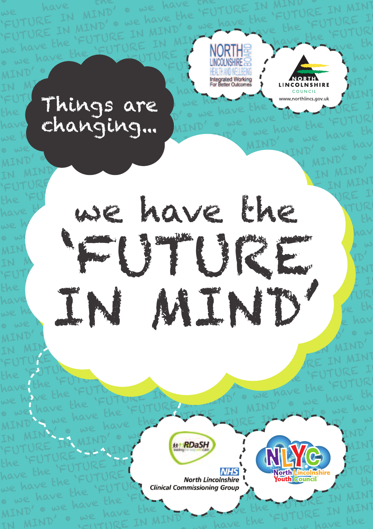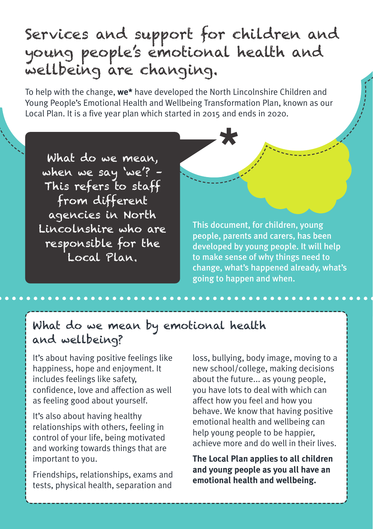# Services and support for children and young people's emotional health and wellbeing are changing.

To help with the change, **we\*** have developed the North Lincolnshire Children and Young People's Emotional Health and Wellbeing Transformation Plan, known as our Local Plan. It is a five year plan which started in 2015 and ends in 2020. **\***

What do we mean, when we say 'we'? – This refers to staff from different agencies in North Lincolnshire who are responsible for the Local Plan.

This document, for children, young people, parents and carers, has been developed by young people. It will help to make sense of why things need to change, what's happened already, what's going to happen and when.

# What do we mean by emotional health and wellbeing?

It's about having positive feelings like happiness, hope and enjoyment. It includes feelings like safety, confidence, love and affection as well as feeling good about yourself.

It's also about having healthy relationships with others, feeling in control of your life, being motivated and working towards things that are important to you.

Friendships, relationships, exams and tests, physical health, separation and

loss, bullying, body image, moving to a new school/college, making decisions about the future... as young people, you have lots to deal with which can affect how you feel and how you behave. We know that having positive emotional health and wellbeing can help young people to be happier, achieve more and do well in their lives.

**The Local Plan applies to all children and young people as you all have an emotional health and wellbeing.**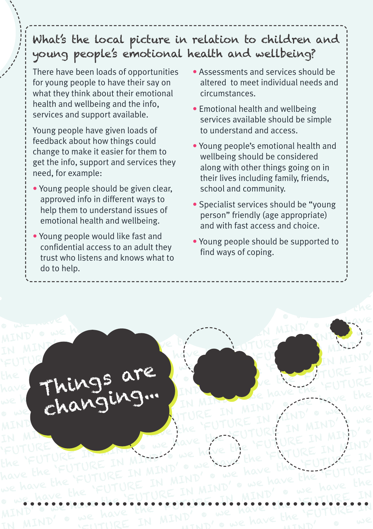'FUTURE IN MIND' • we have the 'FUTURE IN MIND • we have the 'FUTURE IN MIND' • we have the 'FUTURE IN MIND' 'FUTURE IN MIND' • we have the  $\mathcal{V}$  young pe What's the local picture in relation to children and<br>young people's emotional health and wellbeing?<br>There have been loads of opportunities . Assessments and services should be re in relation to children and<br>bhal health and wellbeing? What's the local picture in relation to children and

There have been loads of opportunities<br>  $\begin{bmatrix}\n\text{for young people to have their say on} \\
\text{which exhibits about their original}\n\end{bmatrix}$ "<br>
"There have been loads of opportunities "Assessments and services should be<br>
"
for young people to have their say on altered to meet individual needs and<br>
"
what they think about their emotional circumstances. FUTURE IN MIND FUTURE IN MIND TO VOUR PEOPLE TO HAVE THEIR SAY ON<br>
A What they think about their emotional circum<br>
Learning and the info,<br>
Learning and the info, For young people to have their say on<br>
what they think about their emotional<br>
in the that and wellbeing and the info,<br>
services and support available.<br>
Noung people bave given looks of<br>
in the understand and access will be what they think about their emotional<br>
| health and wellbeing and the info,<br>
services and support available.<br>
<br>
Young people have given loads of<br>
<br>
| feedback about how things could<br>
| feedback about how things could for young people to have their say on health and wellbeing and the info, services and support available.

'FUTURE IN MIND' • we have the

we have the

f feedback about how things could<br>change to make it easier for them to Services and support available.<br>
Young people have given loads of<br>
Feedback about how things could<br>
change to make it easier for them to<br>
get the info, support and services they<br>
along with other things going on in In the info, support and services they<br>ineed, for example: Young people have given loads of feedback about how things could need, for example:

- i need, for example: their life<br>| Young people should be given clear, school<br>| expressed into in different ways to the approved into in different ways to along with other things going on in<br>
need, for example:<br>
<br>
Noung people should be given clear,<br>
approved info in different ways to<br>
help them to understand issues of<br>
and to the specialist services should be "young<br>
person We have have their lives including tamily, friends,<br>
• Young people should be given clear,<br>
approved info in different ways to<br>
help them to understand issues of<br>
emotional health and wellbeing.<br>
and with fast access and c • Young people should be given clear, approved info in different ways to help them to understand issues of emotional health and wellbeing.
- Young people would like fast and confidential access to an adult they<br>trust who listens and knows what to • Young people would like fast and<br>
confidential access to an adult they<br>
trust who listens and knows what to<br>
do to help. 'FUTURE IN MIND' • we have the confidential access to an adult they do to help.

• Assessments and services should be<br>altered to meet individual needs and altered to meet individual needs and circumstances.

'FUTURE IN

----------<sup>/</sup><br>'

- oport available.<br>
Services available should be simple<br>
how things could<br>
be the understand and access.  $\bullet$  Emotional health and wellbeing to understand and access.
- to understand and access.<br>
 Young people's emotional health and<br>
wellbeing should be considered Freedback about now timps could<br>
change to make it easier for them to<br>
get the info, support and services they<br>
need, for example:<br>
• Young people should be given clear,<br>
• Soung people should be given clear,<br>
• Soung peop wellbeing should be considered<br>along with other things going on in<br>their lives including family friends • Young people's emotional health and wellbeing should be considered their lives including family, friends, school and community.
- In different ways to<br>
in different ways to<br> **Specialist services should**<br>
person" friendly (age app<br>
and with fast access and of School and community.<br>• Specialist services should be "young MIND FIREND FIRE IN THE TO THE THE TO THE THE TO THE TO THE TO THE TO THE TO THE TO THE TO THE TO THE TO THE TO THE TO THE TO THE TO THE TO THE TO THE TO THE TO THE TO THE TO THE TO THE TO THE TO THE TO THE TO THE TO THE T person mendity (age appropriate)<br>and with fast access and choice.<br>Provide the Supported to person" friendly (age appropriate) and with fast access and choice.
	- Young people should be supported to<br>find ways of coping. find ways of coping.

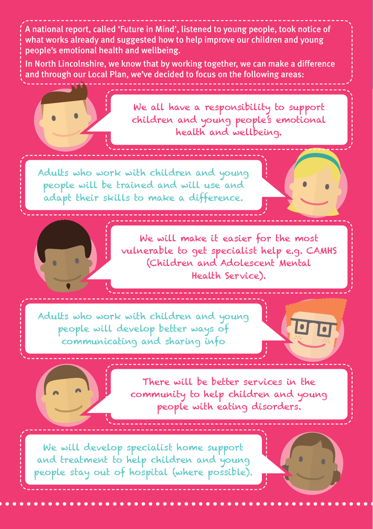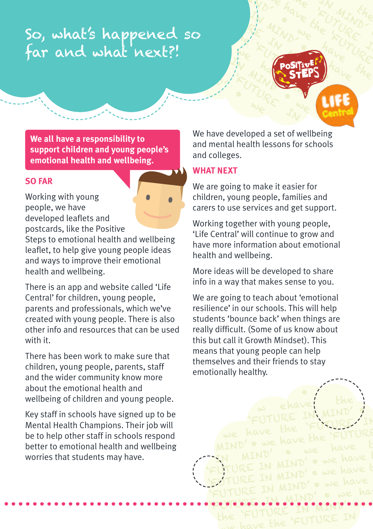# HE 'FUTURE IS A TRANSPORT SO HAVE THE BOSTON COMPANY MIND' SO Have the Street So, what's happened so far and what next?!

**We all have a responsibility to support children and young people's emotional health and wellbeing.**

## **SO FAR**

Working with young people, we have developed leaflets and postcards, like the Positive

Steps to emotional health and wellbeing leaflet, to help give young people ideas and ways to improve their emotional health and wellbeing.

There is an app and website called 'Life Central' for children, young people, parents and professionals, which we've created with young people. There is also other info and resources that can be used with it.

There has been work to make sure that children, young people, parents, staff and the wider community know more about the emotional health and wellbeing of children and young people.

Key staff in schools have signed up to be Mental Health Champions. Their job will be to help other staff in schools respond better to emotional health and wellbeing worries that students may have.

We have developed a set of wellbeing and mental health lessons for schools and colleges.

**MIND** 

UBLE HALL

We have the the the top of

ave 'FU MINUTURE WE HAVE THE HAVE TURE

have

 $\begin{pmatrix} 1 & 1 \\ 1 & 1 \\ 1 & 1 \end{pmatrix}$ 

•

•

## **WHAT NEXT**

MIND'

We are going to make it easier for children, young people, families and carers to use services and get support.

Working together with young people, 'Life Central' will continue to grow and have more information about emotional health and wellbeing.

More ideas will be developed to share info in a way that makes sense to you.

We are going to teach about 'emotional resilience' in our schools. This will help students 'bounce back' when things are really difficult. (Some of us know about this but call it Growth Mindset). This means that young people can help themselves and their friends to stay emotionally healthy.

w ehave the FUTURE IN MIND' 'FUTURE IN we have the FUTURE  $MIND'$   $\circ$  we have the have t SN MIND' we have I FUTURE IN MIND, we have the state of the manufacture of the manufacture of the manufacture of the manufacture of the manufacture of the manufacture of the manufacture of the manufacture of the manufacture of the manufactur FUTURE IN MIND' . we have<br>FUTURE IN MIND' . we have FUTURE IN MIND' • we have the 'Future in Mind' •<br>the 'Future in Mind' •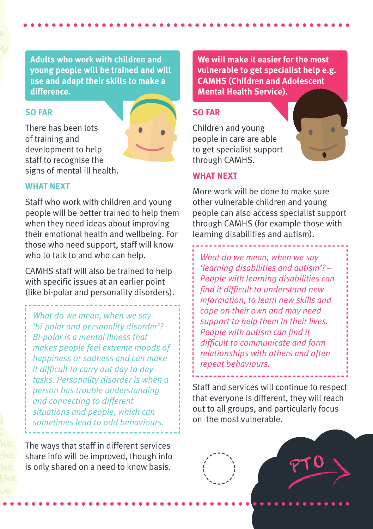**Adults who work with children and young people will be trained and will use and adapt their skills to make a difference.**

## **SO FAR**

There has been lots of training and development to help staff to recognise the signs of mental ill health.



# **WHAT NEXT**

Staff who work with children and young people will be better trained to help them when they need ideas about improving their emotional health and wellbeing. For those who need support, staff will know who to talk to and who can help.

CAMHS staff will also be trained to help with specific issues at an earlier point (like bi-polar and personality disorders).

*What do we mean, when we say 'bi-polar and personality disorder'? – Bi-polar is a mental illness that makes people feel extreme moods of happiness or sadness and can make it difficult to carry out day to day tasks. Personality disorder is when a person has trouble understanding and connecting to different situations and people, which can sometimes lead to odd behaviours.*

The ways that staff in different services share info will be improved, though info is only shared on a need to know basis.

**We will make it easier for the most vulnerable to get specialist help e.g. CAMHS (Children and Adolescent Mental Health Service).**

### **SO FAR**

Children and young people in care are able to get specialist support through CAMHS.



### **WHAT NEXT**

More work will be done to make sure other vulnerable children and young people can also access specialist support through CAMHS (for example those with learning disabilities and autism).

*What do we mean, when we say 'learning disabilities and autism'? – People with learning disabilities can find it difficult to understand new information, to learn new skills and cope on their own and may need support to help them in their lives. People with autism can find it difficult to communicate and form relationships with others and often repeat behaviours.*

Staff and services will continue to respect that everyone is different, they will reach out to all groups, and particularly focus on the most vulnerable.

PTO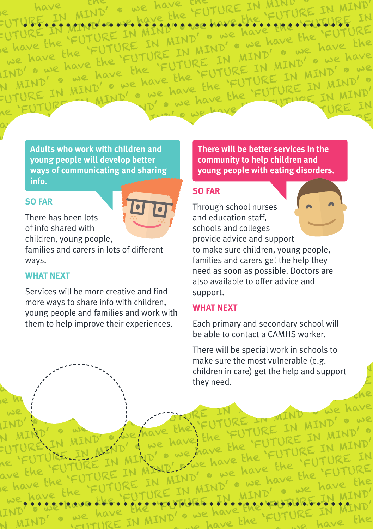nave END FUTURE IN MITURE IN MIND' . WE have FUTURE IN MIND' • we have the 'FUTURE IN MIND'<br>-UTURE IN MIND' • WE have the 'FUTURE IN MIND'<br>-UTURE IN MIND' • we have the 'FUTURE<br>e have the 'FUTURE IN MIND' • we have the 'FUTURE we have the -UTURE IN MIND • CONTURE IN MIND' • we have the 'FUTURE<br>
IR have the 'FUTURE IN MIND' • we have the the study of the study of the we have the<br>
we have the 'FUTURE IN MIND' • we have<br>
IND' • we have the 'FUTURE IN MIND' • w 'FUTURE IN IND' • we have the<br>N MIND' • we have the I MIND oue have the have the<br>SE IN MIND' oue have<br>'FUTURE IN MIND' owe have LIND' • we have chave the<br>N MIND' • we have the E IN MIND NIND 6 we have he URE IN MIND' · we have the<br>'URE IN MIND' · we have the JRE IN MIND MIND' . WE<br>'FUTURE IN MIND' . FUTURE IN MIND' • we have the 'FUTURE IN MIND'<br>he 'FUTURE IN MIND' • we have the 'FUTURE IN MIND' IN MIND' . WE FUTURE IN MINDS FURE IN

**Adults** who work with children and Adults who work with children and<br>young people will develop better<br>community to help children and young people will develop better<br>ways of communicating and shar FUTURE WAYS OF COMMUNICATING WAYS OF COMMUNICATING AND **EXAMINDENT CONTRACT CONTACT CONTRACT CONTRACT CONTRACT CONTRACT CONTRACT CONTRACT CONTRACT CONTRACT CONTRACT CONTRACT CONTRACT CONTRACT CONTRACT CONTRACT CONTRACT CON info.**

## **SO FAR**

avec the theory



**SO FAR**<br>There has been lots mere has seen locs<br>of info shared with<br>children, young people, of info shared with

children, young people, prov<br>
families and carers in lots of different to m<br>
ways. fami ways.<br>**WHAT NEXT** families and carers in lots of different ways.

ave the

a have

he

 $\frac{1}{\sqrt{2}}$ 

we have the

IND' · we want the h

ave the more ways to share info with children, 'fumed as soon<br>| also available<br>| Services will be more creative and find support. young people and ramilies and work with them to help improve their experiences. Services will be more creative and find support.<br>more ways to share info with children, **WHAT NEXT**<br>young people and families and work with **WHAT NEXT** Services will be more creative and find<br>
more ways to share info with children,<br>
young people and families and work with<br>
them to help improve their experiences.<br>
Each primary and secondary school will<br>
be able to contact

FUTURE IN MIND' • we have the

IT MIND' · we we have the

There will be better services in the  $\begin{bmatrix} \text{There will be better services in the} \\ \text{community to help children and} \end{bmatrix}$ **community** to help children and **young people with eating disorders.**<br>SO FAR

# **SO FAR**

SO FAR<br>
There has been lots<br>
There has been lots<br>
and education staff,  $\frac{1}{2}$  Through school nurses  $\frac{1}{2}$  and education staff. and education staff,<br>
schools and colleges<br>
provide advice and support provide advice and support<br>of different both make sure children, young<br>families and carers get the h Function, young people,<br>
families and carers in lots of different<br>
ways.<br> **WHAT NEXT**<br>
WHAT NEXT<br>
Services will be more creative and find<br>
Services will be more creative and find<br>
Services will be more creative and find<br>
S families and carers get the help they<br>need as soon as possible. Doctors are we have the 'FUTURE IN MIND' • we have the 'FUTURE IN MIND' also available to offer advice and<br>support and education staff, provide advice and support to make sure children, young people, need as soon as possible. Doctors are support.

# **WHAT NEXT**

MIND' . we have the FUTURE<br>EN MIND' . we have the 'FUTU

 $\sim$  we have the

FUTURE IN MIND' • we have the 'FUTURE IN MIND'<br>he 'FUTURE IN MIND' • we have the 'FUTURE IN<br>ave the 'FUTURE IN MIND' • we have the 'FUTURE IN<br>e have the 'FUTURE IN MIND' • we have the 'FUTURE

ave the 'FUTURE IN MIND' or we have the 'FUTURE<br>Le have the 'FUTURE IN MIND' or we have the tear the<br>we have the 'FUTURE IN MIND' or we have we have the<br>LIND' or we have the tear of the securitURE IN MIND'

WE have the FUTURE IN MIND' we have the MIND'<br>IIND' • we have the response the face proposer in MIND'<br>N MIND' • we have IN MIND' • we have the FUTURE IN MIND'

E IN MIND's we have have the<br>TURE IN MIND' . we have the<br>'FUTURE IN MIND' . we have

<sup>en,</sup><br>k with **WHAT NEXT**<br>ices. Fach primary and secondary school will<br>he able to contact a CAMHS worker Each primary and secondary school will<br>be able to contact a CAMHS worker. be able to contact a CAMHS worker.<br>There will be special work in schools to

There w<br>make si<br>childrer في المستقدم المستقدم المستقدم المستقدم المستقدم المستقدم المستقدم المستقدم المستقدم المستقدم المستقدم<br>المستقدم المستقدم المستقدم المستقدم المستقدم المستقدم المستقدم المستقدم المستقدم المستقدم المست make sure the<br>
expansive the children in car<br>
they need. There will be special work in schools to<br>make sure the most vulnerable (e.g. we have the most vulnerable (e.g.<br>the most vulnerable (e.g.<br>they need. they need.  $\text{children in care}$  get the help and support MIND' PLACE IN MIND WE HAVE THE THE THE MIND WAS HAVE THE THE THE MIND WAS ARRESTED FOR THE MIND OF WE HAVE make sure the most vulnerable (e.g. they need.

THE IN THE HE MIND WE have

I MIND MIND' · we have the have the

E IN A IN MIND we have

FUTURE IN MIND' . WE<br>2 Ehe FUTURE IN MIND' .<br>Lave the FUTURE IN MIND'

JRE IN MIND' . WE<br>'FUTURE IN MIND' .

FUTURE IN

'FUTURE IN MIND' UT UKE have the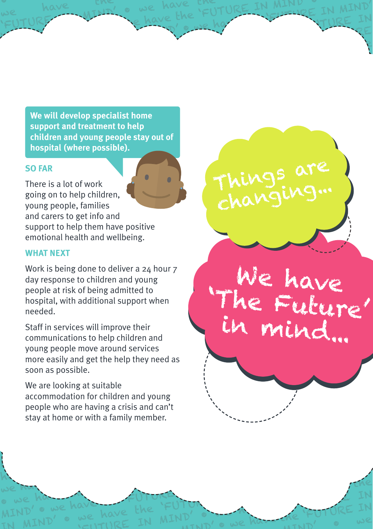'Future in Mind' • we have the theory of the theory of the theory of the theory of the theory of the theory of the theory of the theory of the theory of the theory of the theory of the theory of the theory of the theory of we will develop specialist home<br>'FUTURE IN MIND' • we have the 'FUTURE IN MIND' • we have the support and treatment to help We will develop specialist home<br>support and treatment to help<br>children and young people stay out of we have the **hospital (where possible).** We will develop specialist home<br>support and treatment to help<br>children and young people stay out of We will develop specialist nome<br>support and treatment to help<br>children and young people stay out of<br>hospital (where possible). the FAR<br>
FAR<br>
FER SI QUE OF WORK **We will develop specialist home support and treatment to help**

we have the we have the<br>'FUTURE MIND' • we have the FU

we have the save the FUTURE IN MIND =

we have the have the FUTURE IN MIND' is the MIND' e we have the 'FUTURE IN MIND' TURE IN TURE IN MIND' • WE HAVE

MIND' extends the 'FUTURE IN MIND'  $\mathbb{F}_{p}$ 

'FUTURE IN MIND' • we have the 'FUTURE IN MIND' • we have the 'FUTURE IN MIND' • we have the 'FUTURE IN MIND' <br>The 'FUTURE IN MIND' • we have the 'FUTURE IN MIND' • we have the 'FUTURE IN MIND' • we have the 'FUTURE IN MI

the

have the 'FUTURE IN MIND' • we have the 'FUTURE IN MIND' • We have the 'FUTURE IN MIND' • we have the 'FUTURE IN MIND' • we have the 'FUTURE IN MIND' • we have the 'FUTURE IN MIND' • we have the internal mind' in the second was in the second was in the second was in the second was

'FUTURE IN MIND' • we have the

'FUTURE IN MIND' • we have the second Me have the FUTURE THE IN MIND' • we have the 'FUTURE IN MIND' • we have the 'FUTURE IN

**TURE IN** 

 $\epsilon$  ) is

 $\mathcal{F}$ 

'FUTURE IN

'FUTURE IN

 $\mathcal{F}_{\mathcal{A}}$ 

'FUTURE IN MIND' • WE have

Thursting")

'FUTURE IN MIND' • we

We have

'' FUTURE

in mind...

'Future In Mind' • we have in the second of the second of the second of the second of the second of the second of the second of the second of the second of the second of the second of the second of the second of the second

FUTURE IN MINDE

MIND' • we have the 'FUTURE IN

Things are

Things are

changing...

'FUTURE IN MIND' • we have the

# **IN MIND'S BO FAR SO FAR**

we have the

I nere is a lot of work<br>going on to help children,<br>voung poople, families Things a lot of work<br>Ing on to help children, In Mind, we have not and<br>Interest to get info and<br>Support to help them have positive support to help them have posit ble, families<br>to get info and<br>help them have positive A young people, families<br>and carers to get info and<br>support to help them have positive<br>emotional health and wellbeing. There is a lot of work young people, families and carers to get info and

# WHAT NEXT<br>Wedsig have done to deliver a co **WHAT NEXT**

the

we have the

MIND' • we have the

Explorational health and wellbeing.<br>
WHAT NEXT<br>
Work is being done to deliver a 24 hour 7<br>
day response to children and young Work is being done to deliver a 24 hour 7<br>day response to children and young WHAT NEXT<br>
Work is being done to deliver a 24 hour 7<br>
day response to children and young<br>
people at risk of being admitted to<br>
hospital, with additional support when Work is being done to deliver a 24 hour 7<br>
day response to children and young<br>
people at risk of being admitted to<br>
hospital, with additional support when<br>
needed.<br>
Staff in services will improve their<br>
communications to h "I'L "ME MULLUTE" day response to children and young people at risk of being admitted to hospital, with additional support when needed.

needed.<br>Staff in services will improve their Stan in Services with improve them<br>communications to help children and<br>young people move around services Staff in services will improve their<br>
communications to help children and<br>
young people move around services<br>
more easily and get the help they need as young people move around services<br>
more easily and get the help they need as<br>
soon as possible. bound be seen the the the the the the the the second services<br>
more easily and get the help they need as<br>
soon as possible.<br>
We are looking at suitable we have the 'FUTURE IN MIND' • we have the 'FUTURE IN MIND' young people move around services more easily and get the help they need as soon as possible.

people who are having a crisis and can't We are looking at suitable<br>accommodation for children and young We are looking at suitable<br>accommodation for children and young<br>people who are having a crisis and can't<br>stay at home or with a family member. stay at home or with a family member.<br>  $\frac{f}{f}$  and  $\frac{f}{f}$  we have the theory of  $\frac{f}{f}$ people who are having a crisis and can't<br>stay at home or with a family member. We are looking at suitable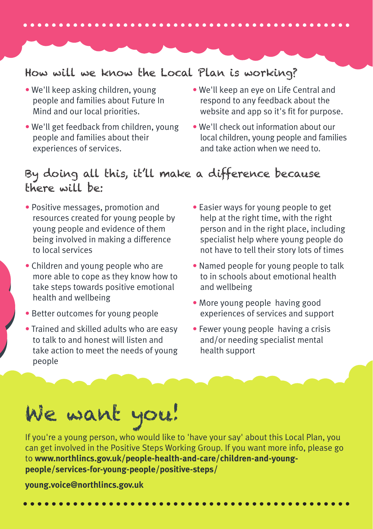# How will we know the Local Plan is working?

- We'll keep asking children, young people and families about Future In Mind and our local priorities.
- We'll get feedback from children, young people and families about their experiences of services.
- We'll keep an eye on Life Central and respond to any feedback about the website and app so it's fit for purpose.
- We'll check out information about our local children, young people and families and take action when we need to.

# By doing all this, it'll make a difference because there will be:

- Positive messages, promotion and resources created for young people by young people and evidence of them being involved in making a difference to local services
- Children and young people who are more able to cope as they know how to take steps towards positive emotional health and wellbeing
- Better outcomes for young people
- Trained and skilled adults who are easy to talk to and honest will listen and take action to meet the needs of young people
- Easier ways for young people to get help at the right time, with the right person and in the right place, including specialist help where young people do not have to tell their story lots of times
- Named people for young people to talk to in schools about emotional health and wellbeing
- More young people having good experiences of services and support
- Fewer young people having a crisis and/or needing specialist mental health support

# We want you!

If you're a young person, who would like to 'have your say' about this Local Plan, you can get involved in the Positive Steps Working Group. If you want more info, please go to **www.northlincs.gov.uk/people-health-and-care/children-and-youngpeople/services-for-young-people/positive-steps/**

### **young.voice@northlincs.gov.uk**